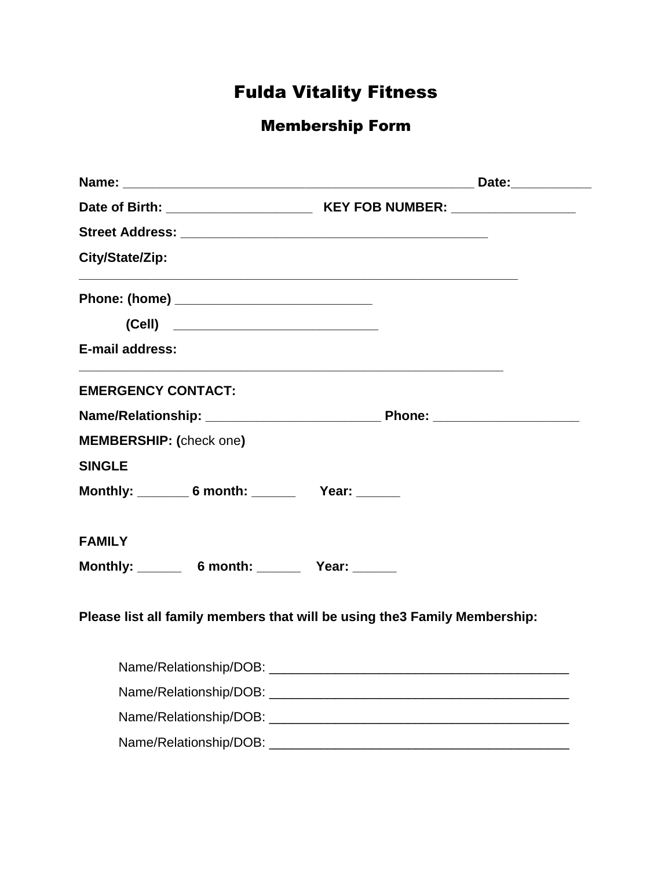# Fulda Vitality Fitness

## Membership Form

| City/State/Zip:                    | <u> 1989 - Johann John Stone, mars eta biztanleria (h. 1989).</u>          |
|------------------------------------|----------------------------------------------------------------------------|
|                                    |                                                                            |
| (Cell) ___________________________ |                                                                            |
| E-mail address:                    |                                                                            |
| <b>EMERGENCY CONTACT:</b>          |                                                                            |
|                                    |                                                                            |
| <b>MEMBERSHIP:</b> (check one)     |                                                                            |
| <b>SINGLE</b>                      |                                                                            |
| Monthly: 6 month: Vear: 1990       |                                                                            |
| <b>FAMILY</b>                      |                                                                            |
| Monthly: 6 month: Vear: 1990       |                                                                            |
|                                    | Please list all family members that will be using the 3 Family Membership: |
|                                    |                                                                            |
|                                    |                                                                            |
|                                    |                                                                            |
| Name/Relationship/DOB:             |                                                                            |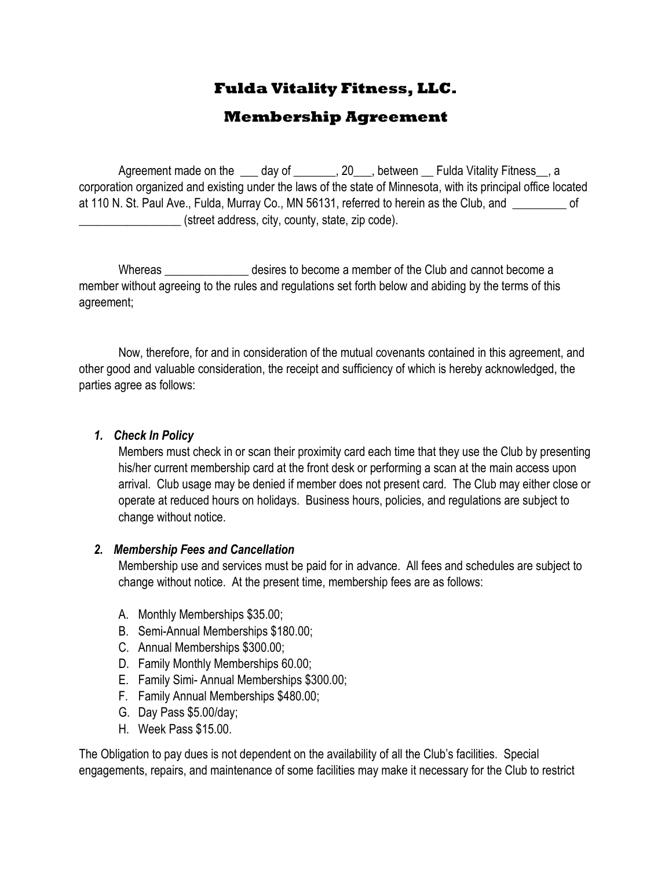## **Fulda Vitality Fitness, LLC.**

### **Membership Agreement**

Agreement made on the day of \_\_\_\_\_\_\_, 20 \_\_\_, between \_\_\_ Fulda Vitality Fitness \_\_, a corporation organized and existing under the laws of the state of Minnesota, with its principal office located at 110 N. St. Paul Ave., Fulda, Murray Co., MN 56131, referred to herein as the Club, and \_\_\_\_\_\_\_\_\_ of \_\_\_\_\_\_\_\_\_\_\_\_\_\_\_\_\_ (street address, city, county, state, zip code).

Whereas The sto become a member of the Club and cannot become a member of the Club and cannot become a member without agreeing to the rules and regulations set forth below and abiding by the terms of this agreement;

Now, therefore, for and in consideration of the mutual covenants contained in this agreement, and other good and valuable consideration, the receipt and sufficiency of which is hereby acknowledged, the parties agree as follows:

#### *1. Check In Policy*

Members must check in or scan their proximity card each time that they use the Club by presenting his/her current membership card at the front desk or performing a scan at the main access upon arrival. Club usage may be denied if member does not present card. The Club may either close or operate at reduced hours on holidays. Business hours, policies, and regulations are subject to change without notice.

#### *2. Membership Fees and Cancellation*

Membership use and services must be paid for in advance. All fees and schedules are subject to change without notice. At the present time, membership fees are as follows:

- A. Monthly Memberships \$35.00;
- B. Semi-Annual Memberships \$180.00;
- C. Annual Memberships \$300.00;
- D. Family Monthly Memberships 60.00;
- E. Family Simi- Annual Memberships \$300.00;
- F. Family Annual Memberships \$480.00;
- G. Day Pass \$5.00/day;
- H. Week Pass \$15.00.

The Obligation to pay dues is not dependent on the availability of all the Club's facilities. Special engagements, repairs, and maintenance of some facilities may make it necessary for the Club to restrict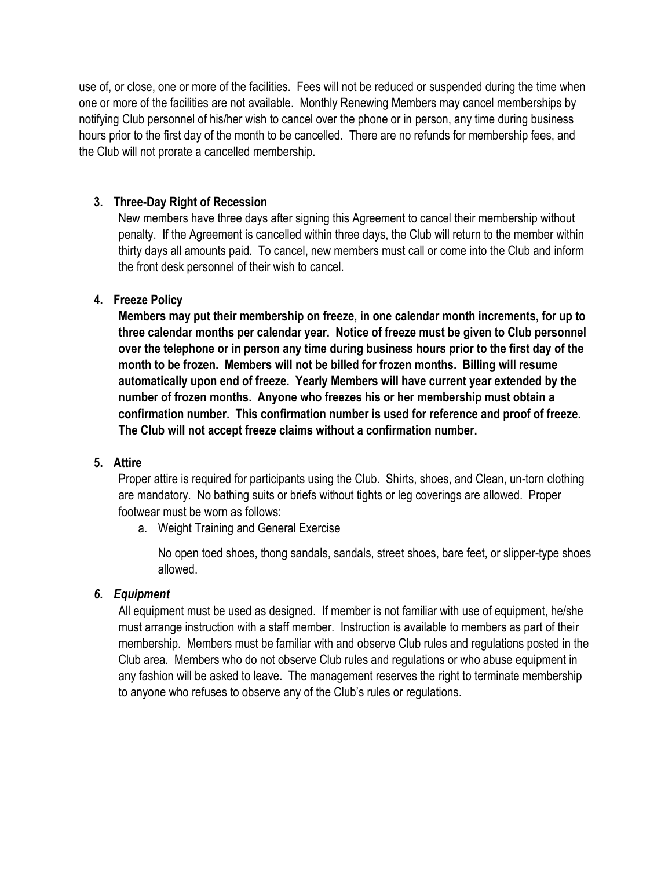use of, or close, one or more of the facilities. Fees will not be reduced or suspended during the time when one or more of the facilities are not available. Monthly Renewing Members may cancel memberships by notifying Club personnel of his/her wish to cancel over the phone or in person, any time during business hours prior to the first day of the month to be cancelled. There are no refunds for membership fees, and the Club will not prorate a cancelled membership.

#### **3. Three-Day Right of Recession**

New members have three days after signing this Agreement to cancel their membership without penalty. If the Agreement is cancelled within three days, the Club will return to the member within thirty days all amounts paid. To cancel, new members must call or come into the Club and inform the front desk personnel of their wish to cancel.

#### **4. Freeze Policy**

**Members may put their membership on freeze, in one calendar month increments, for up to three calendar months per calendar year. Notice of freeze must be given to Club personnel over the telephone or in person any time during business hours prior to the first day of the month to be frozen. Members will not be billed for frozen months. Billing will resume automatically upon end of freeze. Yearly Members will have current year extended by the number of frozen months. Anyone who freezes his or her membership must obtain a confirmation number. This confirmation number is used for reference and proof of freeze. The Club will not accept freeze claims without a confirmation number.**

#### **5. Attire**

Proper attire is required for participants using the Club. Shirts, shoes, and Clean, un-torn clothing are mandatory. No bathing suits or briefs without tights or leg coverings are allowed. Proper footwear must be worn as follows:

a. Weight Training and General Exercise

No open toed shoes, thong sandals, sandals, street shoes, bare feet, or slipper-type shoes allowed.

#### *6. Equipment*

All equipment must be used as designed. If member is not familiar with use of equipment, he/she must arrange instruction with a staff member. Instruction is available to members as part of their membership. Members must be familiar with and observe Club rules and regulations posted in the Club area. Members who do not observe Club rules and regulations or who abuse equipment in any fashion will be asked to leave. The management reserves the right to terminate membership to anyone who refuses to observe any of the Club's rules or regulations.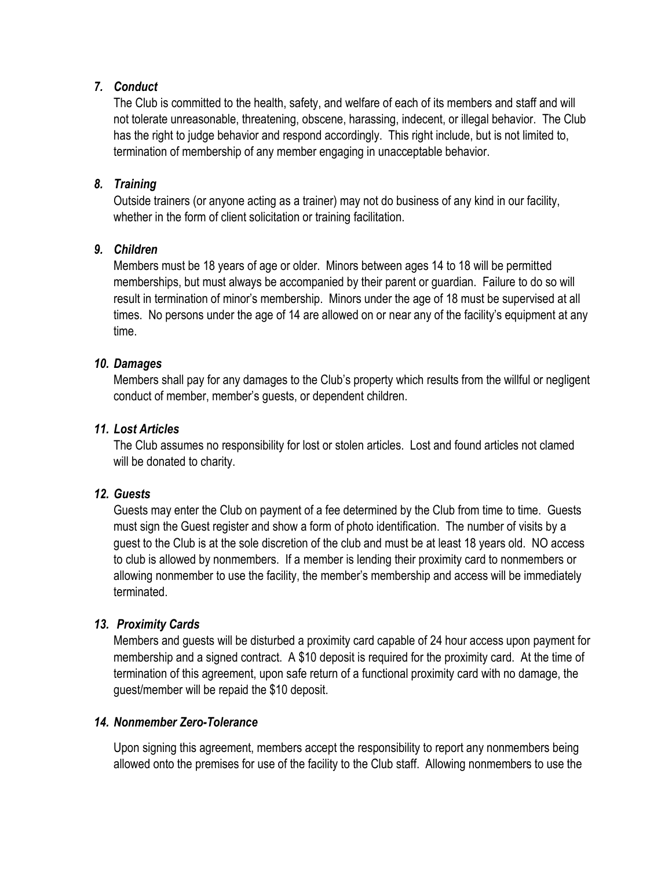#### *7. Conduct*

The Club is committed to the health, safety, and welfare of each of its members and staff and will not tolerate unreasonable, threatening, obscene, harassing, indecent, or illegal behavior. The Club has the right to judge behavior and respond accordingly. This right include, but is not limited to, termination of membership of any member engaging in unacceptable behavior.

#### *8. Training*

Outside trainers (or anyone acting as a trainer) may not do business of any kind in our facility, whether in the form of client solicitation or training facilitation.

#### *9. Children*

Members must be 18 years of age or older. Minors between ages 14 to 18 will be permitted memberships, but must always be accompanied by their parent or guardian. Failure to do so will result in termination of minor's membership. Minors under the age of 18 must be supervised at all times. No persons under the age of 14 are allowed on or near any of the facility's equipment at any time.

#### *10. Damages*

Members shall pay for any damages to the Club's property which results from the willful or negligent conduct of member, member's guests, or dependent children.

#### *11. Lost Articles*

The Club assumes no responsibility for lost or stolen articles. Lost and found articles not clamed will be donated to charity.

#### *12. Guests*

Guests may enter the Club on payment of a fee determined by the Club from time to time. Guests must sign the Guest register and show a form of photo identification. The number of visits by a guest to the Club is at the sole discretion of the club and must be at least 18 years old. NO access to club is allowed by nonmembers. If a member is lending their proximity card to nonmembers or allowing nonmember to use the facility, the member's membership and access will be immediately terminated.

#### *13. Proximity Cards*

Members and guests will be disturbed a proximity card capable of 24 hour access upon payment for membership and a signed contract. A \$10 deposit is required for the proximity card. At the time of termination of this agreement, upon safe return of a functional proximity card with no damage, the guest/member will be repaid the \$10 deposit.

#### *14. Nonmember Zero-Tolerance*

Upon signing this agreement, members accept the responsibility to report any nonmembers being allowed onto the premises for use of the facility to the Club staff. Allowing nonmembers to use the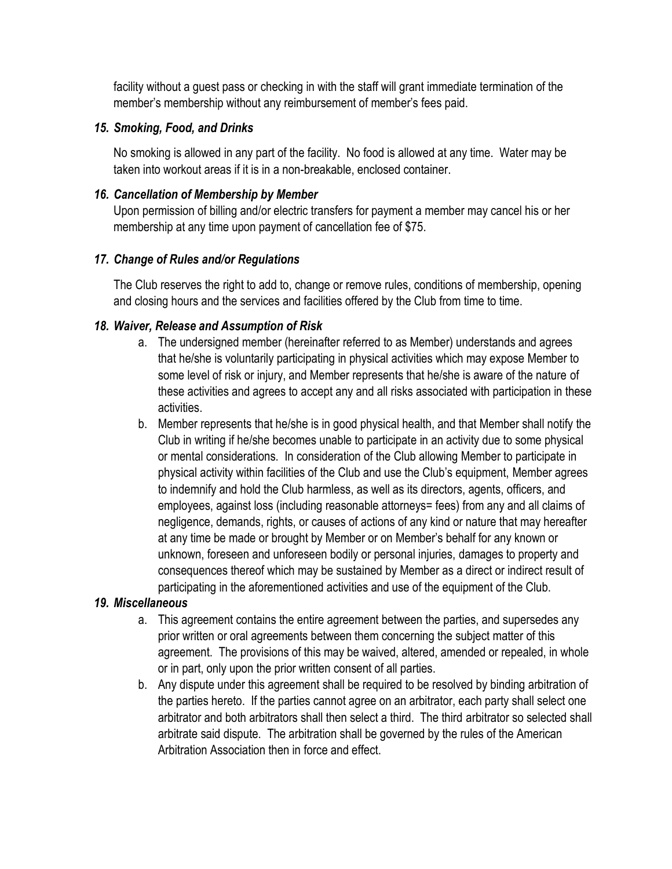facility without a guest pass or checking in with the staff will grant immediate termination of the member's membership without any reimbursement of member's fees paid.

#### *15. Smoking, Food, and Drinks*

No smoking is allowed in any part of the facility. No food is allowed at any time. Water may be taken into workout areas if it is in a non-breakable, enclosed container.

#### *16. Cancellation of Membership by Member*

Upon permission of billing and/or electric transfers for payment a member may cancel his or her membership at any time upon payment of cancellation fee of \$75.

#### *17. Change of Rules and/or Regulations*

The Club reserves the right to add to, change or remove rules, conditions of membership, opening and closing hours and the services and facilities offered by the Club from time to time.

#### *18. Waiver, Release and Assumption of Risk*

- a. The undersigned member (hereinafter referred to as Member) understands and agrees that he/she is voluntarily participating in physical activities which may expose Member to some level of risk or injury, and Member represents that he/she is aware of the nature of these activities and agrees to accept any and all risks associated with participation in these activities.
- b. Member represents that he/she is in good physical health, and that Member shall notify the Club in writing if he/she becomes unable to participate in an activity due to some physical or mental considerations. In consideration of the Club allowing Member to participate in physical activity within facilities of the Club and use the Club's equipment, Member agrees to indemnify and hold the Club harmless, as well as its directors, agents, officers, and employees, against loss (including reasonable attorneys= fees) from any and all claims of negligence, demands, rights, or causes of actions of any kind or nature that may hereafter at any time be made or brought by Member or on Member's behalf for any known or unknown, foreseen and unforeseen bodily or personal injuries, damages to property and consequences thereof which may be sustained by Member as a direct or indirect result of participating in the aforementioned activities and use of the equipment of the Club.

#### *19. Miscellaneous*

- a. This agreement contains the entire agreement between the parties, and supersedes any prior written or oral agreements between them concerning the subject matter of this agreement. The provisions of this may be waived, altered, amended or repealed, in whole or in part, only upon the prior written consent of all parties.
- b. Any dispute under this agreement shall be required to be resolved by binding arbitration of the parties hereto. If the parties cannot agree on an arbitrator, each party shall select one arbitrator and both arbitrators shall then select a third. The third arbitrator so selected shall arbitrate said dispute. The arbitration shall be governed by the rules of the American Arbitration Association then in force and effect.